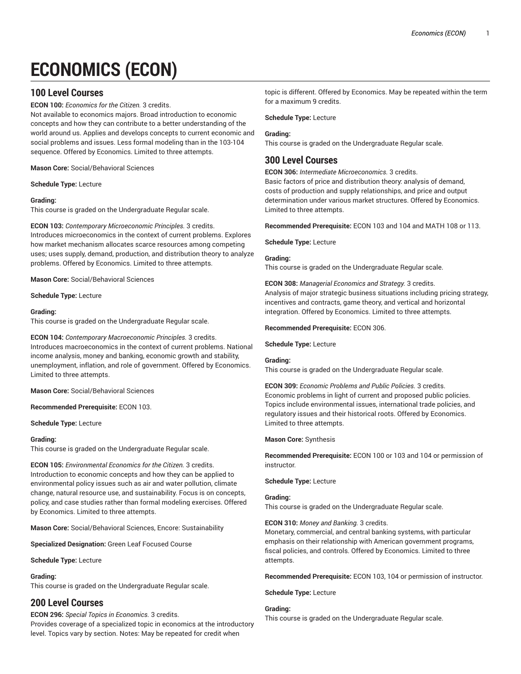# **ECONOMICS (ECON)**

# **100 Level Courses**

**ECON 100:** *Economics for the Citizen.* 3 credits.

Not available to economics majors. Broad introduction to economic concepts and how they can contribute to a better understanding of the world around us. Applies and develops concepts to current economic and social problems and issues. Less formal modeling than in the 103-104 sequence. Offered by Economics. Limited to three attempts.

**Mason Core:** Social/Behavioral Sciences

**Schedule Type:** Lecture

### **Grading:**

This course is graded on the Undergraduate Regular scale.

**ECON 103:** *Contemporary Microeconomic Principles.* 3 credits. Introduces microeconomics in the context of current problems. Explores how market mechanism allocates scarce resources among competing uses; uses supply, demand, production, and distribution theory to analyze problems. Offered by Economics. Limited to three attempts.

**Mason Core:** Social/Behavioral Sciences

**Schedule Type:** Lecture

### **Grading:**

This course is graded on the Undergraduate Regular scale.

**ECON 104:** *Contemporary Macroeconomic Principles.* 3 credits.

Introduces macroeconomics in the context of current problems. National income analysis, money and banking, economic growth and stability, unemployment, inflation, and role of government. Offered by Economics. Limited to three attempts.

**Mason Core:** Social/Behavioral Sciences

**Recommended Prerequisite:** ECON 103.

**Schedule Type:** Lecture

### **Grading:**

This course is graded on the Undergraduate Regular scale.

**ECON 105:** *Environmental Economics for the Citizen.* 3 credits. Introduction to economic concepts and how they can be applied to environmental policy issues such as air and water pollution, climate change, natural resource use, and sustainability. Focus is on concepts, policy, and case studies rather than formal modeling exercises. Offered by Economics. Limited to three attempts.

**Mason Core:** Social/Behavioral Sciences, Encore: Sustainability

**Specialized Designation:** Green Leaf Focused Course

**Schedule Type:** Lecture

### **Grading:**

This course is graded on the Undergraduate Regular scale.

# **200 Level Courses**

#### **ECON 296:** *Special Topics in Economics.* 3 credits.

Provides coverage of a specialized topic in economics at the introductory level. Topics vary by section. Notes: May be repeated for credit when

topic is different. Offered by Economics. May be repeated within the term for a maximum 9 credits.

**Schedule Type:** Lecture

### **Grading:**

This course is graded on the Undergraduate Regular scale.

# **300 Level Courses**

**ECON 306:** *Intermediate Microeconomics.* 3 credits. Basic factors of price and distribution theory: analysis of demand, costs of production and supply relationships, and price and output determination under various market structures. Offered by Economics. Limited to three attempts.

**Recommended Prerequisite:** ECON 103 and 104 and MATH 108 or 113.

**Schedule Type:** Lecture

### **Grading:**

This course is graded on the Undergraduate Regular scale.

**ECON 308:** *Managerial Economics and Strategy.* 3 credits. Analysis of major strategic business situations including pricing strategy, incentives and contracts, game theory, and vertical and horizontal integration. Offered by Economics. Limited to three attempts.

**Recommended Prerequisite:** ECON 306.

**Schedule Type:** Lecture

#### **Grading:**

This course is graded on the Undergraduate Regular scale.

**ECON 309:** *Economic Problems and Public Policies.* 3 credits. Economic problems in light of current and proposed public policies. Topics include environmental issues, international trade policies, and regulatory issues and their historical roots. Offered by Economics. Limited to three attempts.

#### **Mason Core:** Synthesis

**Recommended Prerequisite:** ECON 100 or 103 and 104 or permission of instructor.

### **Schedule Type:** Lecture

#### **Grading:**

This course is graded on the Undergraduate Regular scale.

#### **ECON 310:** *Money and Banking.* 3 credits.

Monetary, commercial, and central banking systems, with particular emphasis on their relationship with American government programs, fiscal policies, and controls. Offered by Economics. Limited to three attempts.

**Recommended Prerequisite:** ECON 103, 104 or permission of instructor.

**Schedule Type:** Lecture

### **Grading:**

This course is graded on the Undergraduate Regular scale.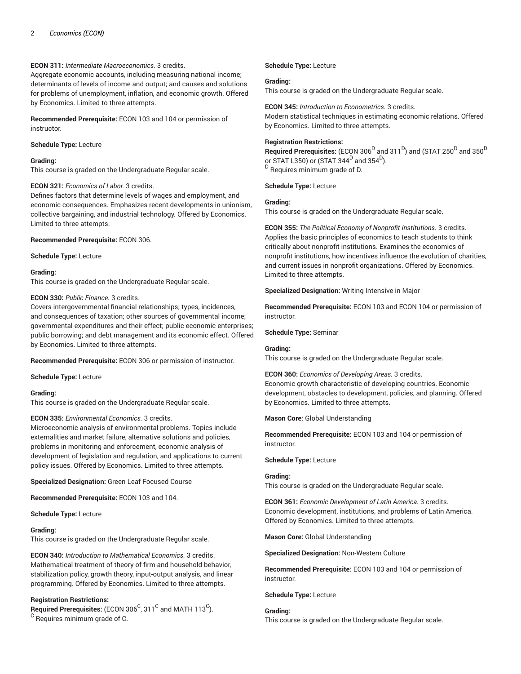### **ECON 311:** *Intermediate Macroeconomics.* 3 credits.

Aggregate economic accounts, including measuring national income; determinants of levels of income and output; and causes and solutions for problems of unemployment, inflation, and economic growth. Offered by Economics. Limited to three attempts.

**Recommended Prerequisite:** ECON 103 and 104 or permission of instructor.

### **Schedule Type:** Lecture

### **Grading:**

This course is graded on the Undergraduate Regular scale.

### **ECON 321:** *Economics of Labor.* 3 credits.

Defines factors that determine levels of wages and employment, and economic consequences. Emphasizes recent developments in unionism, collective bargaining, and industrial technology. Offered by Economics. Limited to three attempts.

**Recommended Prerequisite:** ECON 306.

**Schedule Type:** Lecture

### **Grading:**

This course is graded on the Undergraduate Regular scale.

### **ECON 330:** *Public Finance.* 3 credits.

Covers intergovernmental financial relationships; types, incidences, and consequences of taxation; other sources of governmental income; governmental expenditures and their effect; public economic enterprises; public borrowing; and debt management and its economic effect. Offered by Economics. Limited to three attempts.

**Recommended Prerequisite:** ECON 306 or permission of instructor.

**Schedule Type:** Lecture

### **Grading:**

This course is graded on the Undergraduate Regular scale.

# **ECON 335:** *Environmental Economics.* 3 credits.

Microeconomic analysis of environmental problems. Topics include externalities and market failure, alternative solutions and policies, problems in monitoring and enforcement, economic analysis of development of legislation and regulation, and applications to current policy issues. Offered by Economics. Limited to three attempts.

**Specialized Designation:** Green Leaf Focused Course

**Recommended Prerequisite:** ECON 103 and 104.

**Schedule Type:** Lecture

### **Grading:**

This course is graded on the Undergraduate Regular scale.

**ECON 340:** *Introduction to Mathematical Economics.* 3 credits. Mathematical treatment of theory of firm and household behavior, stabilization policy, growth theory, input-output analysis, and linear programming. Offered by Economics. Limited to three attempts.

### **Registration Restrictions:**

 $\mathsf{\mathsf{Required\ Pre}}$  recequisites: (ECON 306 $^\mathsf{C}$ , 311 $^\mathsf{C}$  and MATH 113 $^\mathsf{C}$ ). <sup>C</sup> Requires minimum grade of C.

### **Schedule Type:** Lecture

### **Grading:**

This course is graded on the Undergraduate Regular scale.

**ECON 345:** *Introduction to Econometrics.* 3 credits. Modern statistical techniques in estimating economic relations. Offered by Economics. Limited to three attempts.

### **Registration Restrictions:**

 $\bf{Required \textit{Preequisites:}}$  (ECON 306 $^D$  and 311 $^D$ ) and (STAT 250 $^D$  and 350 $^D$ or STAT L350) or (STAT 344 $^{\mathsf{D}}$  and 354 $^{\mathsf{D}}$ ). <sup>D</sup> Requires minimum grade of D.

**Schedule Type:** Lecture

### **Grading:**

This course is graded on the Undergraduate Regular scale.

**ECON 355:** *The Political Economy of Nonprofit Institutions.* 3 credits. Applies the basic principles of economics to teach students to think critically about nonprofit institutions. Examines the economics of nonprofit institutions, how incentives influence the evolution of charities, and current issues in nonprofit organizations. Offered by Economics. Limited to three attempts.

**Specialized Designation:** Writing Intensive in Major

**Recommended Prerequisite:** ECON 103 and ECON 104 or permission of instructor.

**Schedule Type:** Seminar

### **Grading:**

This course is graded on the Undergraduate Regular scale.

**ECON 360:** *Economics of Developing Areas.* 3 credits. Economic growth characteristic of developing countries. Economic development, obstacles to development, policies, and planning. Offered by Economics. Limited to three attempts.

### **Mason Core:** Global Understanding

**Recommended Prerequisite:** ECON 103 and 104 or permission of instructor.

**Schedule Type:** Lecture

## **Grading:**

This course is graded on the Undergraduate Regular scale.

**ECON 361:** *Economic Development of Latin America.* 3 credits. Economic development, institutions, and problems of Latin America. Offered by Economics. Limited to three attempts.

**Mason Core:** Global Understanding

**Specialized Designation:** Non-Western Culture

**Recommended Prerequisite:** ECON 103 and 104 or permission of instructor.

### **Schedule Type:** Lecture

**Grading:** This course is graded on the Undergraduate Regular scale.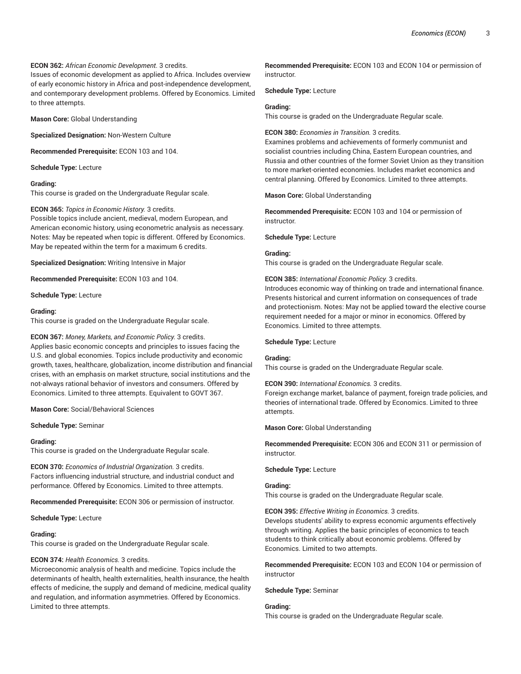### **ECON 362:** *African Economic Development.* 3 credits.

Issues of economic development as applied to Africa. Includes overview of early economic history in Africa and post-independence development, and contemporary development problems. Offered by Economics. Limited to three attempts.

**Mason Core:** Global Understanding

**Specialized Designation:** Non-Western Culture

**Recommended Prerequisite:** ECON 103 and 104.

#### **Schedule Type:** Lecture

#### **Grading:**

This course is graded on the Undergraduate Regular scale.

### **ECON 365:** *Topics in Economic History.* 3 credits.

Possible topics include ancient, medieval, modern European, and American economic history, using econometric analysis as necessary. Notes: May be repeated when topic is different. Offered by Economics. May be repeated within the term for a maximum 6 credits.

**Specialized Designation:** Writing Intensive in Major

**Recommended Prerequisite:** ECON 103 and 104.

**Schedule Type:** Lecture

#### **Grading:**

This course is graded on the Undergraduate Regular scale.

### **ECON 367:** *Money, Markets, and Economic Policy.* 3 credits.

Applies basic economic concepts and principles to issues facing the U.S. and global economies. Topics include productivity and economic growth, taxes, healthcare, globalization, income distribution and financial crises, with an emphasis on market structure, social institutions and the not-always rational behavior of investors and consumers. Offered by Economics. Limited to three attempts. Equivalent to GOVT 367.

**Mason Core:** Social/Behavioral Sciences

**Schedule Type:** Seminar

#### **Grading:**

This course is graded on the Undergraduate Regular scale.

**ECON 370:** *Economics of Industrial Organization.* 3 credits. Factors influencing industrial structure, and industrial conduct and performance. Offered by Economics. Limited to three attempts.

**Recommended Prerequisite:** ECON 306 or permission of instructor.

#### **Schedule Type:** Lecture

### **Grading:**

This course is graded on the Undergraduate Regular scale.

### **ECON 374:** *Health Economics.* 3 credits.

Microeconomic analysis of health and medicine. Topics include the determinants of health, health externalities, health insurance, the health effects of medicine, the supply and demand of medicine, medical quality and regulation, and information asymmetries. Offered by Economics. Limited to three attempts.

**Recommended Prerequisite:** ECON 103 and ECON 104 or permission of instructor.

**Schedule Type:** Lecture

#### **Grading:**

This course is graded on the Undergraduate Regular scale.

**ECON 380:** *Economies in Transition.* 3 credits.

Examines problems and achievements of formerly communist and socialist countries including China, Eastern European countries, and Russia and other countries of the former Soviet Union as they transition to more market-oriented economies. Includes market economics and central planning. Offered by Economics. Limited to three attempts.

**Mason Core:** Global Understanding

**Recommended Prerequisite:** ECON 103 and 104 or permission of instructor.

**Schedule Type:** Lecture

### **Grading:**

This course is graded on the Undergraduate Regular scale.

#### **ECON 385:** *International Economic Policy.* 3 credits.

Introduces economic way of thinking on trade and international finance. Presents historical and current information on consequences of trade and protectionism. Notes: May not be applied toward the elective course requirement needed for a major or minor in economics. Offered by Economics. Limited to three attempts.

#### **Schedule Type:** Lecture

#### **Grading:**

This course is graded on the Undergraduate Regular scale.

#### **ECON 390:** *International Economics.* 3 credits.

Foreign exchange market, balance of payment, foreign trade policies, and theories of international trade. Offered by Economics. Limited to three attempts.

**Mason Core:** Global Understanding

**Recommended Prerequisite:** ECON 306 and ECON 311 or permission of instructor.

#### **Schedule Type:** Lecture

#### **Grading:**

This course is graded on the Undergraduate Regular scale.

**ECON 395:** *Effective Writing in Economics.* 3 credits.

Develops students' ability to express economic arguments effectively through writing. Applies the basic principles of economics to teach students to think critically about economic problems. Offered by Economics. Limited to two attempts.

**Recommended Prerequisite:** ECON 103 and ECON 104 or permission of instructor

**Schedule Type:** Seminar

#### **Grading:**

This course is graded on the Undergraduate Regular scale.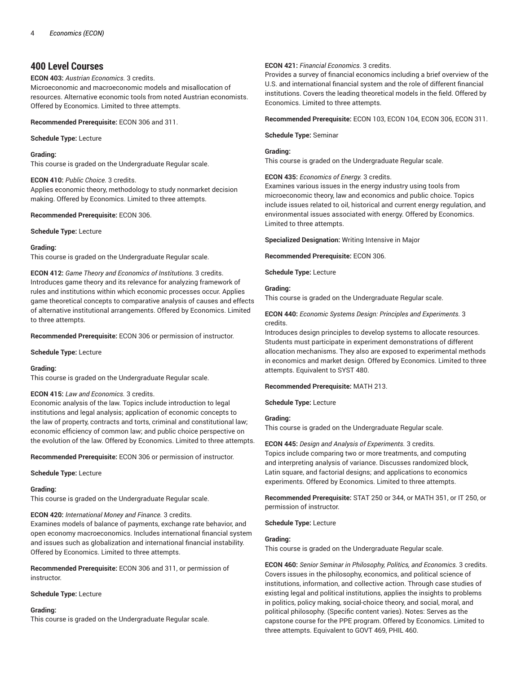# **400 Level Courses**

**ECON 403:** *Austrian Economics.* 3 credits.

Microeconomic and macroeconomic models and misallocation of resources. Alternative economic tools from noted Austrian economists. Offered by Economics. Limited to three attempts.

**Recommended Prerequisite:** ECON 306 and 311.

### **Schedule Type:** Lecture

**Grading:**

This course is graded on the Undergraduate Regular scale.

**ECON 410:** *Public Choice.* 3 credits.

Applies economic theory, methodology to study nonmarket decision making. Offered by Economics. Limited to three attempts.

**Recommended Prerequisite:** ECON 306.

**Schedule Type:** Lecture

### **Grading:**

This course is graded on the Undergraduate Regular scale.

**ECON 412:** *Game Theory and Economics of Institutions.* 3 credits. Introduces game theory and its relevance for analyzing framework of rules and institutions within which economic processes occur. Applies game theoretical concepts to comparative analysis of causes and effects of alternative institutional arrangements. Offered by Economics. Limited to three attempts.

**Recommended Prerequisite:** ECON 306 or permission of instructor.

**Schedule Type:** Lecture

### **Grading:**

This course is graded on the Undergraduate Regular scale.

### **ECON 415:** *Law and Economics.* 3 credits.

Economic analysis of the law. Topics include introduction to legal institutions and legal analysis; application of economic concepts to the law of property, contracts and torts, criminal and constitutional law; economic efficiency of common law; and public choice perspective on the evolution of the law. Offered by Economics. Limited to three attempts.

**Recommended Prerequisite:** ECON 306 or permission of instructor.

**Schedule Type:** Lecture

### **Grading:**

This course is graded on the Undergraduate Regular scale.

**ECON 420:** *International Money and Finance.* 3 credits.

Examines models of balance of payments, exchange rate behavior, and open economy macroeconomics. Includes international financial system and issues such as globalization and international financial instability. Offered by Economics. Limited to three attempts.

**Recommended Prerequisite:** ECON 306 and 311, or permission of instructor.

**Schedule Type:** Lecture

### **Grading:**

This course is graded on the Undergraduate Regular scale.

### **ECON 421:** *Financial Economics.* 3 credits.

Provides a survey of financial economics including a brief overview of the U.S. and international financial system and the role of different financial institutions. Covers the leading theoretical models in the field. Offered by Economics. Limited to three attempts.

**Recommended Prerequisite:** ECON 103, ECON 104, ECON 306, ECON 311.

**Schedule Type:** Seminar

### **Grading:**

This course is graded on the Undergraduate Regular scale.

### **ECON 435:** *Economics of Energy.* 3 credits.

Examines various issues in the energy industry using tools from microeconomic theory, law and economics and public choice. Topics include issues related to oil, historical and current energy regulation, and environmental issues associated with energy. Offered by Economics. Limited to three attempts.

**Specialized Designation:** Writing Intensive in Major

**Recommended Prerequisite:** ECON 306.

**Schedule Type:** Lecture

### **Grading:**

This course is graded on the Undergraduate Regular scale.

**ECON 440:** *Economic Systems Design: Principles and Experiments.* 3 credits.

Introduces design principles to develop systems to allocate resources. Students must participate in experiment demonstrations of different allocation mechanisms. They also are exposed to experimental methods in economics and market design. Offered by Economics. Limited to three attempts. Equivalent to SYST 480.

### **Recommended Prerequisite:** MATH 213.

**Schedule Type:** Lecture

### **Grading:**

This course is graded on the Undergraduate Regular scale.

# **ECON 445:** *Design and Analysis of Experiments.* 3 credits.

Topics include comparing two or more treatments, and computing and interpreting analysis of variance. Discusses randomized block, Latin square, and factorial designs; and applications to economics experiments. Offered by Economics. Limited to three attempts.

**Recommended Prerequisite:** STAT 250 or 344, or MATH 351, or IT 250, or permission of instructor.

### **Schedule Type:** Lecture

### **Grading:**

This course is graded on the Undergraduate Regular scale.

**ECON 460:** *Senior Seminar in Philosophy, Politics, and Economics.* 3 credits. Covers issues in the philosophy, economics, and political science of institutions, information, and collective action. Through case studies of existing legal and political institutions, applies the insights to problems in politics, policy making, social-choice theory, and social, moral, and political philosophy. (Specific content varies). Notes: Serves as the capstone course for the PPE program. Offered by Economics. Limited to three attempts. Equivalent to GOVT 469, PHIL 460.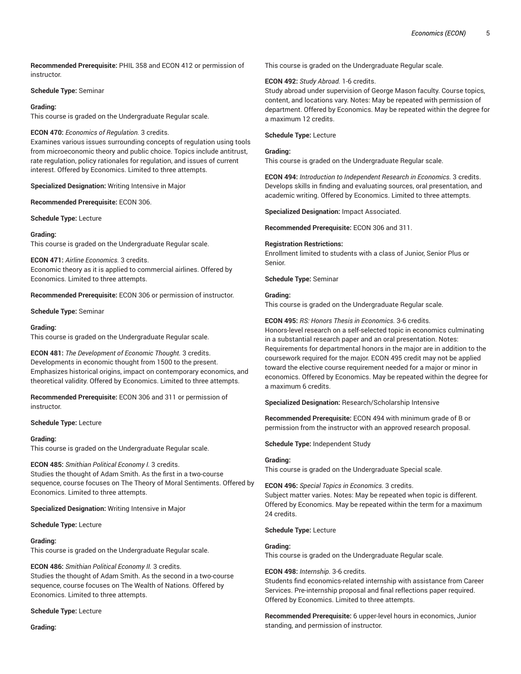**Recommended Prerequisite:** PHIL 358 and ECON 412 or permission of instructor.

### **Schedule Type:** Seminar

### **Grading:**

This course is graded on the Undergraduate Regular scale.

### **ECON 470:** *Economics of Regulation.* 3 credits.

Examines various issues surrounding concepts of regulation using tools from microeconomic theory and public choice. Topics include antitrust, rate regulation, policy rationales for regulation, and issues of current interest. Offered by Economics. Limited to three attempts.

**Specialized Designation:** Writing Intensive in Major

**Recommended Prerequisite:** ECON 306.

**Schedule Type:** Lecture

### **Grading:**

This course is graded on the Undergraduate Regular scale.

**ECON 471:** *Airline Economics.* 3 credits. Economic theory as it is applied to commercial airlines. Offered by Economics. Limited to three attempts.

**Recommended Prerequisite:** ECON 306 or permission of instructor.

**Schedule Type:** Seminar

### **Grading:**

This course is graded on the Undergraduate Regular scale.

**ECON 481:** *The Development of Economic Thought.* 3 credits. Developments in economic thought from 1500 to the present. Emphasizes historical origins, impact on contemporary economics, and theoretical validity. Offered by Economics. Limited to three attempts.

**Recommended Prerequisite:** ECON 306 and 311 or permission of instructor.

**Schedule Type:** Lecture

### **Grading:**

This course is graded on the Undergraduate Regular scale.

### **ECON 485:** *Smithian Political Economy I.* 3 credits.

Studies the thought of Adam Smith. As the first in a two-course sequence, course focuses on The Theory of Moral Sentiments. Offered by Economics. Limited to three attempts.

**Specialized Designation:** Writing Intensive in Major

### **Schedule Type:** Lecture

### **Grading:**

This course is graded on the Undergraduate Regular scale.

### **ECON 486:** *Smithian Political Economy II.* 3 credits.

Studies the thought of Adam Smith. As the second in a two-course sequence, course focuses on The Wealth of Nations. Offered by Economics. Limited to three attempts.

### **Schedule Type:** Lecture

**Grading:**

This course is graded on the Undergraduate Regular scale.

### **ECON 492:** *Study Abroad.* 1-6 credits.

Study abroad under supervision of George Mason faculty. Course topics, content, and locations vary. Notes: May be repeated with permission of department. Offered by Economics. May be repeated within the degree for a maximum 12 credits.

### **Schedule Type:** Lecture

### **Grading:**

This course is graded on the Undergraduate Regular scale.

**ECON 494:** *Introduction to Independent Research in Economics.* 3 credits. Develops skills in finding and evaluating sources, oral presentation, and academic writing. Offered by Economics. Limited to three attempts.

**Specialized Designation:** Impact Associated.

**Recommended Prerequisite:** ECON 306 and 311.

### **Registration Restrictions:**

Enrollment limited to students with a class of Junior, Senior Plus or Senior.

### **Schedule Type:** Seminar

### **Grading:**

This course is graded on the Undergraduate Regular scale.

### **ECON 495:** *RS: Honors Thesis in Economics.* 3-6 credits.

Honors-level research on a self-selected topic in economics culminating in a substantial research paper and an oral presentation. Notes: Requirements for departmental honors in the major are in addition to the coursework required for the major. ECON 495 credit may not be applied toward the elective course requirement needed for a major or minor in economics. Offered by Economics. May be repeated within the degree for a maximum 6 credits.

**Specialized Designation:** Research/Scholarship Intensive

**Recommended Prerequisite:** ECON 494 with minimum grade of B or permission from the instructor with an approved research proposal.

**Schedule Type:** Independent Study

### **Grading:**

This course is graded on the Undergraduate Special scale.

**ECON 496:** *Special Topics in Economics.* 3 credits. Subject matter varies. Notes: May be repeated when topic is different. Offered by Economics. May be repeated within the term for a maximum 24 credits.

### **Schedule Type:** Lecture

### **Grading:**

This course is graded on the Undergraduate Regular scale.

### **ECON 498:** *Internship.* 3-6 credits.

Students find economics-related internship with assistance from Career Services. Pre-internship proposal and final reflections paper required. Offered by Economics. Limited to three attempts.

**Recommended Prerequisite:** 6 upper-level hours in economics, Junior standing, and permission of instructor.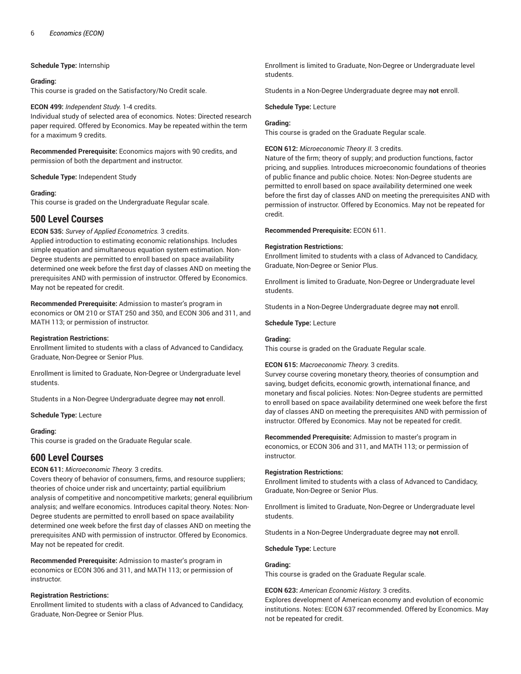### **Schedule Type:** Internship

### **Grading:**

This course is graded on the Satisfactory/No Credit scale.

### **ECON 499:** *Independent Study.* 1-4 credits.

Individual study of selected area of economics. Notes: Directed research paper required. Offered by Economics. May be repeated within the term for a maximum 9 credits.

**Recommended Prerequisite:** Economics majors with 90 credits, and permission of both the department and instructor.

**Schedule Type:** Independent Study

### **Grading:**

This course is graded on the Undergraduate Regular scale.

# **500 Level Courses**

**ECON 535:** *Survey of Applied Econometrics.* 3 credits.

Applied introduction to estimating economic relationships. Includes simple equation and simultaneous equation system estimation. Non-Degree students are permitted to enroll based on space availability determined one week before the first day of classes AND on meeting the prerequisites AND with permission of instructor. Offered by Economics. May not be repeated for credit.

**Recommended Prerequisite:** Admission to master's program in economics or OM 210 or STAT 250 and 350, and ECON 306 and 311, and MATH 113; or permission of instructor.

### **Registration Restrictions:**

Enrollment limited to students with a class of Advanced to Candidacy, Graduate, Non-Degree or Senior Plus.

Enrollment is limited to Graduate, Non-Degree or Undergraduate level students.

Students in a Non-Degree Undergraduate degree may **not** enroll.

**Schedule Type:** Lecture

### **Grading:**

This course is graded on the Graduate Regular scale.

# **600 Level Courses**

### **ECON 611:** *Microeconomic Theory.* 3 credits.

Covers theory of behavior of consumers, firms, and resource suppliers; theories of choice under risk and uncertainty; partial equilibrium analysis of competitive and noncompetitive markets; general equilibrium analysis; and welfare economics. Introduces capital theory. Notes: Non-Degree students are permitted to enroll based on space availability determined one week before the first day of classes AND on meeting the prerequisites AND with permission of instructor. Offered by Economics. May not be repeated for credit.

**Recommended Prerequisite:** Admission to master's program in economics or ECON 306 and 311, and MATH 113; or permission of instructor.

### **Registration Restrictions:**

Enrollment limited to students with a class of Advanced to Candidacy, Graduate, Non-Degree or Senior Plus.

Enrollment is limited to Graduate, Non-Degree or Undergraduate level students.

Students in a Non-Degree Undergraduate degree may **not** enroll.

### **Schedule Type:** Lecture

### **Grading:**

This course is graded on the Graduate Regular scale.

### **ECON 612:** *Microeconomic Theory II.* 3 credits.

Nature of the firm; theory of supply; and production functions, factor pricing, and supplies. Introduces microeconomic foundations of theories of public finance and public choice. Notes: Non-Degree students are permitted to enroll based on space availability determined one week before the first day of classes AND on meeting the prerequisites AND with permission of instructor. Offered by Economics. May not be repeated for credit.

**Recommended Prerequisite:** ECON 611.

### **Registration Restrictions:**

Enrollment limited to students with a class of Advanced to Candidacy, Graduate, Non-Degree or Senior Plus.

Enrollment is limited to Graduate, Non-Degree or Undergraduate level students.

Students in a Non-Degree Undergraduate degree may **not** enroll.

**Schedule Type:** Lecture

### **Grading:**

This course is graded on the Graduate Regular scale.

### **ECON 615:** *Macroeconomic Theory.* 3 credits.

Survey course covering monetary theory, theories of consumption and saving, budget deficits, economic growth, international finance, and monetary and fiscal policies. Notes: Non-Degree students are permitted to enroll based on space availability determined one week before the first day of classes AND on meeting the prerequisites AND with permission of instructor. Offered by Economics. May not be repeated for credit.

**Recommended Prerequisite:** Admission to master's program in economics, or ECON 306 and 311, and MATH 113; or permission of instructor.

### **Registration Restrictions:**

Enrollment limited to students with a class of Advanced to Candidacy, Graduate, Non-Degree or Senior Plus.

Enrollment is limited to Graduate, Non-Degree or Undergraduate level students.

Students in a Non-Degree Undergraduate degree may **not** enroll.

**Schedule Type:** Lecture

### **Grading:**

This course is graded on the Graduate Regular scale.

### **ECON 623:** *American Economic History.* 3 credits.

Explores development of American economy and evolution of economic institutions. Notes: ECON 637 recommended. Offered by Economics. May not be repeated for credit.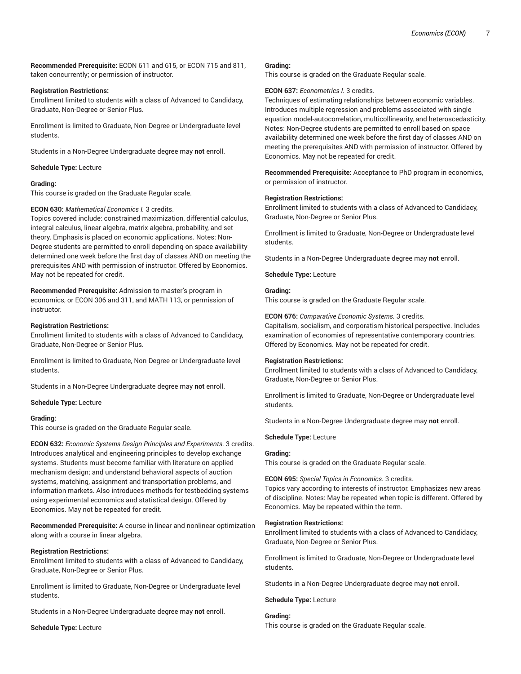**Recommended Prerequisite:** ECON 611 and 615, or ECON 715 and 811, taken concurrently; or permission of instructor.

### **Registration Restrictions:**

Enrollment limited to students with a class of Advanced to Candidacy, Graduate, Non-Degree or Senior Plus.

Enrollment is limited to Graduate, Non-Degree or Undergraduate level students.

Students in a Non-Degree Undergraduate degree may **not** enroll.

**Schedule Type:** Lecture

### **Grading:**

This course is graded on the Graduate Regular scale.

### **ECON 630:** *Mathematical Economics I.* 3 credits.

Topics covered include: constrained maximization, differential calculus, integral calculus, linear algebra, matrix algebra, probability, and set theory. Emphasis is placed on economic applications. Notes: Non-Degree students are permitted to enroll depending on space availability determined one week before the first day of classes AND on meeting the prerequisites AND with permission of instructor. Offered by Economics. May not be repeated for credit.

**Recommended Prerequisite:** Admission to master's program in economics, or ECON 306 and 311, and MATH 113, or permission of instructor.

### **Registration Restrictions:**

Enrollment limited to students with a class of Advanced to Candidacy, Graduate, Non-Degree or Senior Plus.

Enrollment is limited to Graduate, Non-Degree or Undergraduate level students.

Students in a Non-Degree Undergraduate degree may **not** enroll.

**Schedule Type:** Lecture

### **Grading:**

This course is graded on the Graduate Regular scale.

**ECON 632:** *Economic Systems Design Principles and Experiments.* 3 credits. Introduces analytical and engineering principles to develop exchange systems. Students must become familiar with literature on applied mechanism design; and understand behavioral aspects of auction systems, matching, assignment and transportation problems, and information markets. Also introduces methods for testbedding systems using experimental economics and statistical design. Offered by Economics. May not be repeated for credit.

**Recommended Prerequisite:** A course in linear and nonlinear optimization along with a course in linear algebra.

### **Registration Restrictions:**

Enrollment limited to students with a class of Advanced to Candidacy, Graduate, Non-Degree or Senior Plus.

Enrollment is limited to Graduate, Non-Degree or Undergraduate level students.

Students in a Non-Degree Undergraduate degree may **not** enroll.

**Schedule Type:** Lecture

#### **Grading:**

This course is graded on the Graduate Regular scale.

### **ECON 637:** *Econometrics I.* 3 credits.

Techniques of estimating relationships between economic variables. Introduces multiple regression and problems associated with single equation model-autocorrelation, multicollinearity, and heteroscedasticity. Notes: Non-Degree students are permitted to enroll based on space availability determined one week before the first day of classes AND on meeting the prerequisites AND with permission of instructor. Offered by Economics. May not be repeated for credit.

**Recommended Prerequisite:** Acceptance to PhD program in economics, or permission of instructor.

### **Registration Restrictions:**

Enrollment limited to students with a class of Advanced to Candidacy, Graduate, Non-Degree or Senior Plus.

Enrollment is limited to Graduate, Non-Degree or Undergraduate level students.

Students in a Non-Degree Undergraduate degree may **not** enroll.

**Schedule Type:** Lecture

### **Grading:**

This course is graded on the Graduate Regular scale.

**ECON 676:** *Comparative Economic Systems.* 3 credits. Capitalism, socialism, and corporatism historical perspective. Includes examination of economies of representative contemporary countries. Offered by Economics. May not be repeated for credit.

### **Registration Restrictions:**

Enrollment limited to students with a class of Advanced to Candidacy, Graduate, Non-Degree or Senior Plus.

Enrollment is limited to Graduate, Non-Degree or Undergraduate level students.

Students in a Non-Degree Undergraduate degree may **not** enroll.

**Schedule Type:** Lecture

### **Grading:**

This course is graded on the Graduate Regular scale.

### **ECON 695:** *Special Topics in Economics.* 3 credits.

Topics vary according to interests of instructor. Emphasizes new areas of discipline. Notes: May be repeated when topic is different. Offered by Economics. May be repeated within the term.

### **Registration Restrictions:**

Enrollment limited to students with a class of Advanced to Candidacy, Graduate, Non-Degree or Senior Plus.

Enrollment is limited to Graduate, Non-Degree or Undergraduate level students.

Students in a Non-Degree Undergraduate degree may **not** enroll.

### **Schedule Type:** Lecture

**Grading:** This course is graded on the Graduate Regular scale.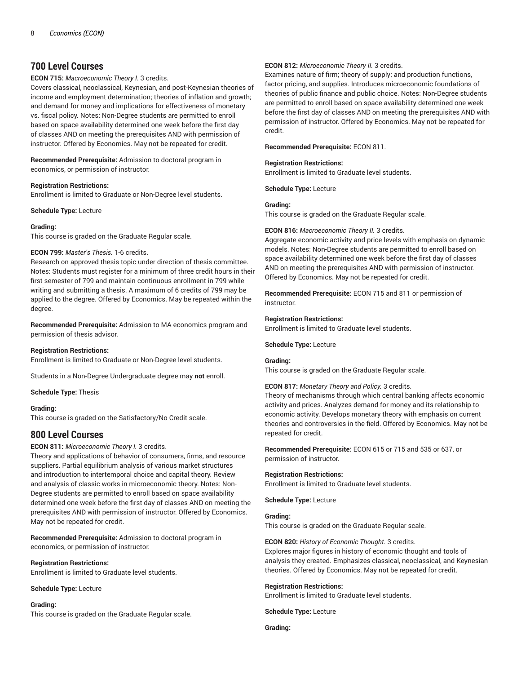# **700 Level Courses**

#### **ECON 715:** *Macroeconomic Theory I.* 3 credits.

Covers classical, neoclassical, Keynesian, and post-Keynesian theories of income and employment determination; theories of inflation and growth; and demand for money and implications for effectiveness of monetary vs. fiscal policy. Notes: Non-Degree students are permitted to enroll based on space availability determined one week before the first day of classes AND on meeting the prerequisites AND with permission of instructor. Offered by Economics. May not be repeated for credit.

### **Recommended Prerequisite:** Admission to doctoral program in economics, or permission of instructor.

#### **Registration Restrictions:**

Enrollment is limited to Graduate or Non-Degree level students.

#### **Schedule Type:** Lecture

#### **Grading:**

This course is graded on the Graduate Regular scale.

### **ECON 799:** *Master's Thesis.* 1-6 credits.

Research on approved thesis topic under direction of thesis committee. Notes: Students must register for a minimum of three credit hours in their first semester of 799 and maintain continuous enrollment in 799 while writing and submitting a thesis. A maximum of 6 credits of 799 may be applied to the degree. Offered by Economics. May be repeated within the degree.

**Recommended Prerequisite:** Admission to MA economics program and permission of thesis advisor.

#### **Registration Restrictions:**

Enrollment is limited to Graduate or Non-Degree level students.

Students in a Non-Degree Undergraduate degree may **not** enroll.

#### **Schedule Type:** Thesis

#### **Grading:**

This course is graded on the Satisfactory/No Credit scale.

# **800 Level Courses**

### **ECON 811:** *Microeconomic Theory I.* 3 credits.

Theory and applications of behavior of consumers, firms, and resource suppliers. Partial equilibrium analysis of various market structures and introduction to intertemporal choice and capital theory. Review and analysis of classic works in microeconomic theory. Notes: Non-Degree students are permitted to enroll based on space availability determined one week before the first day of classes AND on meeting the prerequisites AND with permission of instructor. Offered by Economics. May not be repeated for credit.

**Recommended Prerequisite:** Admission to doctoral program in economics, or permission of instructor.

#### **Registration Restrictions:**

Enrollment is limited to Graduate level students.

#### **Schedule Type:** Lecture

#### **Grading:**

This course is graded on the Graduate Regular scale.

#### **ECON 812:** *Microeconomic Theory II.* 3 credits.

Examines nature of firm; theory of supply; and production functions, factor pricing, and supplies. Introduces microeconomic foundations of theories of public finance and public choice. Notes: Non-Degree students are permitted to enroll based on space availability determined one week before the first day of classes AND on meeting the prerequisites AND with permission of instructor. Offered by Economics. May not be repeated for credit.

#### **Recommended Prerequisite:** ECON 811.

#### **Registration Restrictions:**

Enrollment is limited to Graduate level students.

**Schedule Type:** Lecture

### **Grading:**

This course is graded on the Graduate Regular scale.

#### **ECON 816:** *Macroeconomic Theory II.* 3 credits.

Aggregate economic activity and price levels with emphasis on dynamic models. Notes: Non-Degree students are permitted to enroll based on space availability determined one week before the first day of classes AND on meeting the prerequisites AND with permission of instructor. Offered by Economics. May not be repeated for credit.

**Recommended Prerequisite:** ECON 715 and 811 or permission of instructor.

#### **Registration Restrictions:**

Enrollment is limited to Graduate level students.

#### **Schedule Type:** Lecture

#### **Grading:**

This course is graded on the Graduate Regular scale.

#### **ECON 817:** *Monetary Theory and Policy.* 3 credits.

Theory of mechanisms through which central banking affects economic activity and prices. Analyzes demand for money and its relationship to economic activity. Develops monetary theory with emphasis on current theories and controversies in the field. Offered by Economics. May not be repeated for credit.

**Recommended Prerequisite:** ECON 615 or 715 and 535 or 637, or permission of instructor.

#### **Registration Restrictions:**

Enrollment is limited to Graduate level students.

**Schedule Type:** Lecture

### **Grading:**

This course is graded on the Graduate Regular scale.

### **ECON 820:** *History of Economic Thought.* 3 credits.

Explores major figures in history of economic thought and tools of analysis they created. Emphasizes classical, neoclassical, and Keynesian theories. Offered by Economics. May not be repeated for credit.

#### **Registration Restrictions:**

Enrollment is limited to Graduate level students.

**Schedule Type:** Lecture

**Grading:**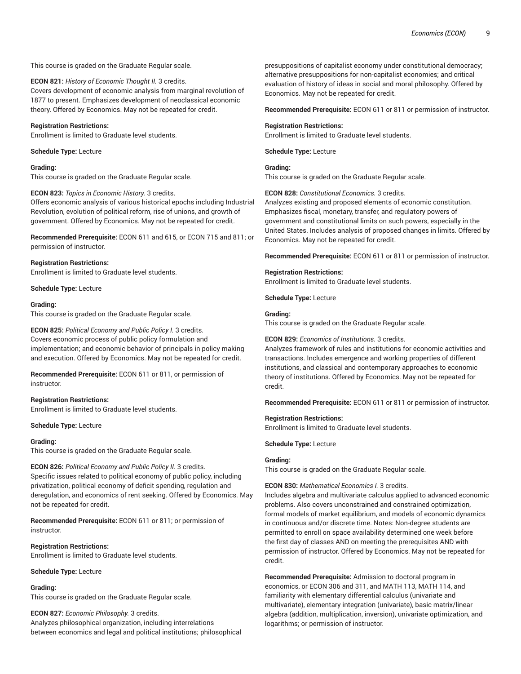### This course is graded on the Graduate Regular scale.

### **ECON 821:** *History of Economic Thought II.* 3 credits.

Covers development of economic analysis from marginal revolution of 1877 to present. Emphasizes development of neoclassical economic theory. Offered by Economics. May not be repeated for credit.

### **Registration Restrictions:**

Enrollment is limited to Graduate level students.

**Schedule Type:** Lecture

#### **Grading:**

This course is graded on the Graduate Regular scale.

### **ECON 823:** *Topics in Economic History.* 3 credits.

Offers economic analysis of various historical epochs including Industrial Revolution, evolution of political reform, rise of unions, and growth of government. Offered by Economics. May not be repeated for credit.

**Recommended Prerequisite:** ECON 611 and 615, or ECON 715 and 811; or permission of instructor.

### **Registration Restrictions:**

Enrollment is limited to Graduate level students.

**Schedule Type:** Lecture

#### **Grading:**

This course is graded on the Graduate Regular scale.

### **ECON 825:** *Political Economy and Public Policy I.* 3 credits.

Covers economic process of public policy formulation and implementation; and economic behavior of principals in policy making and execution. Offered by Economics. May not be repeated for credit.

**Recommended Prerequisite:** ECON 611 or 811, or permission of instructor.

### **Registration Restrictions:**

Enrollment is limited to Graduate level students.

### **Schedule Type:** Lecture

### **Grading:**

This course is graded on the Graduate Regular scale.

**ECON 826:** *Political Economy and Public Policy II.* 3 credits. Specific issues related to political economy of public policy, including privatization, political economy of deficit spending, regulation and deregulation, and economics of rent seeking. Offered by Economics. May not be repeated for credit.

**Recommended Prerequisite:** ECON 611 or 811; or permission of instructor.

# **Registration Restrictions:**

Enrollment is limited to Graduate level students.

#### **Schedule Type:** Lecture

# **Grading:**

This course is graded on the Graduate Regular scale.

# **ECON 827:** *Economic Philosophy.* 3 credits.

Analyzes philosophical organization, including interrelations between economics and legal and political institutions; philosophical

presuppositions of capitalist economy under constitutional democracy; alternative presuppositions for non-capitalist economies; and critical evaluation of history of ideas in social and moral philosophy. Offered by Economics. May not be repeated for credit.

**Recommended Prerequisite:** ECON 611 or 811 or permission of instructor.

### **Registration Restrictions:**

Enrollment is limited to Graduate level students.

**Schedule Type:** Lecture

### **Grading:**

This course is graded on the Graduate Regular scale.

#### **ECON 828:** *Constitutional Economics.* 3 credits.

Analyzes existing and proposed elements of economic constitution. Emphasizes fiscal, monetary, transfer, and regulatory powers of government and constitutional limits on such powers, especially in the United States. Includes analysis of proposed changes in limits. Offered by Economics. May not be repeated for credit.

**Recommended Prerequisite:** ECON 611 or 811 or permission of instructor.

### **Registration Restrictions:**

Enrollment is limited to Graduate level students.

**Schedule Type:** Lecture

### **Grading:**

This course is graded on the Graduate Regular scale.

### **ECON 829:** *Economics of Institutions.* 3 credits.

Analyzes framework of rules and institutions for economic activities and transactions. Includes emergence and working properties of different institutions, and classical and contemporary approaches to economic theory of institutions. Offered by Economics. May not be repeated for credit.

**Recommended Prerequisite:** ECON 611 or 811 or permission of instructor.

#### **Registration Restrictions:**

Enrollment is limited to Graduate level students.

**Schedule Type:** Lecture

### **Grading:**

This course is graded on the Graduate Regular scale.

### **ECON 830:** *Mathematical Economics I.* 3 credits.

Includes algebra and multivariate calculus applied to advanced economic problems. Also covers unconstrained and constrained optimization, formal models of market equilibrium, and models of economic dynamics in continuous and/or discrete time. Notes: Non-degree students are permitted to enroll on space availability determined one week before the first day of classes AND on meeting the prerequisites AND with permission of instructor. Offered by Economics. May not be repeated for credit.

**Recommended Prerequisite:** Admission to doctoral program in economics, or ECON 306 and 311, and MATH 113, MATH 114, and familiarity with elementary differential calculus (univariate and multivariate), elementary integration (univariate), basic matrix/linear algebra (addition, multiplication, inversion), univariate optimization, and logarithms; or permission of instructor.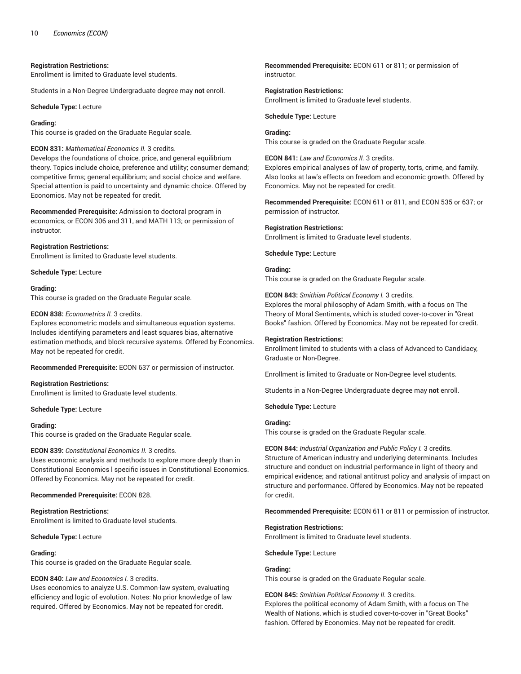### **Registration Restrictions:**

Enrollment is limited to Graduate level students.

Students in a Non-Degree Undergraduate degree may **not** enroll.

**Schedule Type:** Lecture

#### **Grading:**

This course is graded on the Graduate Regular scale.

### **ECON 831:** *Mathematical Economics II.* 3 credits.

Develops the foundations of choice, price, and general equilibrium theory. Topics include choice, preference and utility; consumer demand; competitive firms; general equilibrium; and social choice and welfare. Special attention is paid to uncertainty and dynamic choice. Offered by Economics. May not be repeated for credit.

**Recommended Prerequisite:** Admission to doctoral program in economics, or ECON 306 and 311, and MATH 113; or permission of instructor.

#### **Registration Restrictions:**

Enrollment is limited to Graduate level students.

**Schedule Type:** Lecture

#### **Grading:**

This course is graded on the Graduate Regular scale.

#### **ECON 838:** *Econometrics II.* 3 credits.

Explores econometric models and simultaneous equation systems. Includes identifying parameters and least squares bias, alternative estimation methods, and block recursive systems. Offered by Economics. May not be repeated for credit.

**Recommended Prerequisite:** ECON 637 or permission of instructor.

#### **Registration Restrictions:**

Enrollment is limited to Graduate level students.

#### **Schedule Type:** Lecture

#### **Grading:**

This course is graded on the Graduate Regular scale.

### **ECON 839:** *Constitutional Economics II.* 3 credits.

Uses economic analysis and methods to explore more deeply than in Constitutional Economics l specific issues in Constitutional Economics. Offered by Economics. May not be repeated for credit.

#### **Recommended Prerequisite:** ECON 828.

### **Registration Restrictions:**

Enrollment is limited to Graduate level students.

#### **Schedule Type:** Lecture

### **Grading:**

This course is graded on the Graduate Regular scale.

### **ECON 840:** *Law and Economics I.* 3 credits.

Uses economics to analyze U.S. Common-law system, evaluating efficiency and logic of evolution. Notes: No prior knowledge of law required. Offered by Economics. May not be repeated for credit.

**Recommended Prerequisite:** ECON 611 or 811; or permission of instructor.

### **Registration Restrictions:** Enrollment is limited to Graduate level students.

**Schedule Type:** Lecture

# **Grading:**

This course is graded on the Graduate Regular scale.

### **ECON 841:** *Law and Economics II.* 3 credits.

Explores empirical analyses of law of property, torts, crime, and family. Also looks at law's effects on freedom and economic growth. Offered by Economics. May not be repeated for credit.

**Recommended Prerequisite:** ECON 611 or 811, and ECON 535 or 637; or permission of instructor.

### **Registration Restrictions:**

Enrollment is limited to Graduate level students.

**Schedule Type:** Lecture

### **Grading:**

This course is graded on the Graduate Regular scale.

# **ECON 843:** *Smithian Political Economy I.* 3 credits.

Explores the moral philosophy of Adam Smith, with a focus on The Theory of Moral Sentiments, which is studed cover-to-cover in "Great Books" fashion. Offered by Economics. May not be repeated for credit.

### **Registration Restrictions:**

Enrollment limited to students with a class of Advanced to Candidacy, Graduate or Non-Degree.

Enrollment is limited to Graduate or Non-Degree level students.

Students in a Non-Degree Undergraduate degree may **not** enroll.

**Schedule Type:** Lecture

### **Grading:**

This course is graded on the Graduate Regular scale.

### **ECON 844:** *Industrial Organization and Public Policy I.* 3 credits. Structure of American industry and underlying determinants. Includes structure and conduct on industrial performance in light of theory and empirical evidence; and rational antitrust policy and analysis of impact on structure and performance. Offered by Economics. May not be repeated for credit.

**Recommended Prerequisite:** ECON 611 or 811 or permission of instructor.

### **Registration Restrictions:**

Enrollment is limited to Graduate level students.

**Schedule Type:** Lecture

### **Grading:**

This course is graded on the Graduate Regular scale.

### **ECON 845:** *Smithian Political Economy II.* 3 credits.

Explores the political economy of Adam Smith, with a focus on The Wealth of Nations, which is studied cover-to-cover in "Great Books" fashion. Offered by Economics. May not be repeated for credit.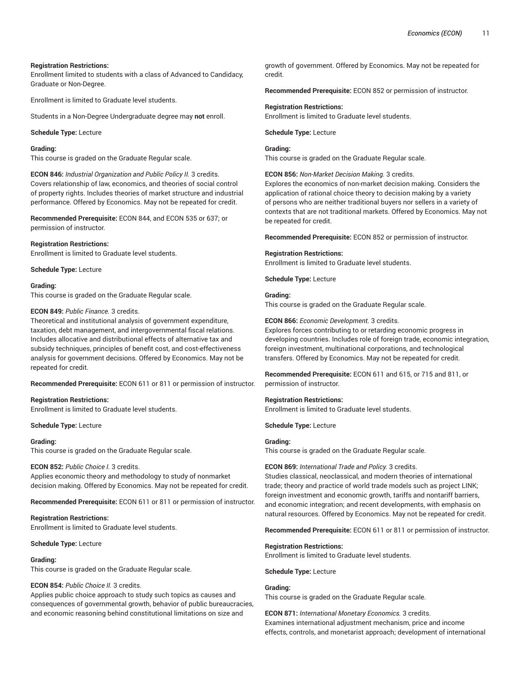### **Registration Restrictions:**

Enrollment limited to students with a class of Advanced to Candidacy, Graduate or Non-Degree.

Enrollment is limited to Graduate level students.

Students in a Non-Degree Undergraduate degree may **not** enroll.

**Schedule Type:** Lecture

### **Grading:**

This course is graded on the Graduate Regular scale.

**ECON 846:** *Industrial Organization and Public Policy II.* 3 credits. Covers relationship of law, economics, and theories of social control of property rights. Includes theories of market structure and industrial performance. Offered by Economics. May not be repeated for credit.

**Recommended Prerequisite:** ECON 844, and ECON 535 or 637; or permission of instructor.

### **Registration Restrictions:**

Enrollment is limited to Graduate level students.

**Schedule Type:** Lecture

#### **Grading:**

This course is graded on the Graduate Regular scale.

### **ECON 849:** *Public Finance.* 3 credits.

Theoretical and institutional analysis of government expenditure, taxation, debt management, and intergovernmental fiscal relations. Includes allocative and distributional effects of alternative tax and subsidy techniques, principles of benefit cost, and cost-effectiveness analysis for government decisions. Offered by Economics. May not be repeated for credit.

**Recommended Prerequisite:** ECON 611 or 811 or permission of instructor.

### **Registration Restrictions:**

Enrollment is limited to Graduate level students.

**Schedule Type:** Lecture

#### **Grading:**

This course is graded on the Graduate Regular scale.

#### **ECON 852:** *Public Choice I.* 3 credits.

Applies economic theory and methodology to study of nonmarket decision making. Offered by Economics. May not be repeated for credit.

**Recommended Prerequisite:** ECON 611 or 811 or permission of instructor.

**Registration Restrictions:** Enrollment is limited to Graduate level students.

#### **Schedule Type:** Lecture

#### **Grading:**

This course is graded on the Graduate Regular scale.

#### **ECON 854:** *Public Choice II.* 3 credits.

Applies public choice approach to study such topics as causes and consequences of governmental growth, behavior of public bureaucracies, and economic reasoning behind constitutional limitations on size and

growth of government. Offered by Economics. May not be repeated for credit.

**Recommended Prerequisite:** ECON 852 or permission of instructor.

#### **Registration Restrictions:**

Enrollment is limited to Graduate level students.

**Schedule Type:** Lecture

### **Grading:**

This course is graded on the Graduate Regular scale.

**ECON 856:** *Non-Market Decision Making.* 3 credits.

Explores the economics of non-market decision making. Considers the application of rational choice theory to decision making by a variety of persons who are neither traditional buyers nor sellers in a variety of contexts that are not traditional markets. Offered by Economics. May not be repeated for credit.

**Recommended Prerequisite:** ECON 852 or permission of instructor.

#### **Registration Restrictions:**

Enrollment is limited to Graduate level students.

**Schedule Type:** Lecture

# **Grading:**

This course is graded on the Graduate Regular scale.

#### **ECON 866:** *Economic Development.* 3 credits.

Explores forces contributing to or retarding economic progress in developing countries. Includes role of foreign trade, economic integration, foreign investment, multinational corporations, and technological transfers. Offered by Economics. May not be repeated for credit.

**Recommended Prerequisite:** ECON 611 and 615, or 715 and 811, or permission of instructor.

#### **Registration Restrictions:**

Enrollment is limited to Graduate level students.

**Schedule Type:** Lecture

#### **Grading:**

This course is graded on the Graduate Regular scale.

#### **ECON 869:** *International Trade and Policy.* 3 credits.

Studies classical, neoclassical, and modern theories of international trade; theory and practice of world trade models such as project LINK; foreign investment and economic growth, tariffs and nontariff barriers, and economic integration; and recent developments, with emphasis on natural resources. Offered by Economics. May not be repeated for credit.

**Recommended Prerequisite:** ECON 611 or 811 or permission of instructor.

#### **Registration Restrictions:**

Enrollment is limited to Graduate level students.

#### **Schedule Type:** Lecture

**Grading:**

This course is graded on the Graduate Regular scale.

**ECON 871:** *International Monetary Economics.* 3 credits. Examines international adjustment mechanism, price and income effects, controls, and monetarist approach; development of international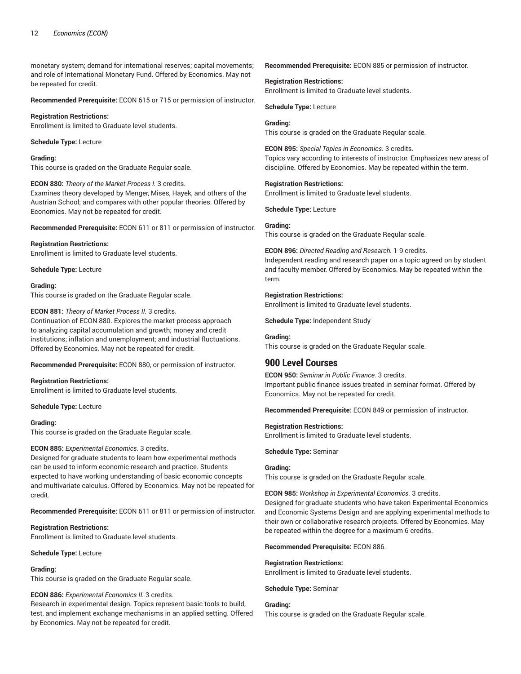monetary system; demand for international reserves; capital movements; and role of International Monetary Fund. Offered by Economics. May not be repeated for credit.

**Recommended Prerequisite:** ECON 615 or 715 or permission of instructor.

**Registration Restrictions:** Enrollment is limited to Graduate level students.

**Schedule Type:** Lecture

**Grading:**

This course is graded on the Graduate Regular scale.

#### **ECON 880:** *Theory of the Market Process I.* 3 credits.

Examines theory developed by Menger, Mises, Hayek, and others of the Austrian School; and compares with other popular theories. Offered by Economics. May not be repeated for credit.

**Recommended Prerequisite:** ECON 611 or 811 or permission of instructor.

**Registration Restrictions:** Enrollment is limited to Graduate level students.

**Schedule Type:** Lecture

#### **Grading:**

This course is graded on the Graduate Regular scale.

### **ECON 881:** *Theory of Market Process II.* 3 credits.

Continuation of ECON 880. Explores the market-process approach to analyzing capital accumulation and growth; money and credit institutions; inflation and unemployment; and industrial fluctuations. Offered by Economics. May not be repeated for credit.

**Recommended Prerequisite:** ECON 880, or permission of instructor.

### **Registration Restrictions:**

Enrollment is limited to Graduate level students.

**Schedule Type:** Lecture

#### **Grading:**

This course is graded on the Graduate Regular scale.

### **ECON 885:** *Experimental Economics.* 3 credits.

Designed for graduate students to learn how experimental methods can be used to inform economic research and practice. Students expected to have working understanding of basic economic concepts and multivariate calculus. Offered by Economics. May not be repeated for credit.

**Recommended Prerequisite:** ECON 611 or 811 or permission of instructor.

#### **Registration Restrictions:**

Enrollment is limited to Graduate level students.

**Schedule Type:** Lecture

### **Grading:**

This course is graded on the Graduate Regular scale.

### **ECON 886:** *Experimental Economics II.* 3 credits.

Research in experimental design. Topics represent basic tools to build, test, and implement exchange mechanisms in an applied setting. Offered by Economics. May not be repeated for credit.

**Recommended Prerequisite:** ECON 885 or permission of instructor.

# **Registration Restrictions:**

Enrollment is limited to Graduate level students.

**Schedule Type:** Lecture

### **Grading:**

This course is graded on the Graduate Regular scale.

**ECON 895:** *Special Topics in Economics.* 3 credits. Topics vary according to interests of instructor. Emphasizes new areas of discipline. Offered by Economics. May be repeated within the term.

#### **Registration Restrictions:**

Enrollment is limited to Graduate level students.

**Schedule Type:** Lecture

### **Grading:**

This course is graded on the Graduate Regular scale.

**ECON 896:** *Directed Reading and Research.* 1-9 credits. Independent reading and research paper on a topic agreed on by student and faculty member. Offered by Economics. May be repeated within the term.

### **Registration Restrictions:**

Enrollment is limited to Graduate level students.

**Schedule Type:** Independent Study

### **Grading:**

This course is graded on the Graduate Regular scale.

# **900 Level Courses**

**ECON 950:** *Seminar in Public Finance.* 3 credits. Important public finance issues treated in seminar format. Offered by Economics. May not be repeated for credit.

**Recommended Prerequisite:** ECON 849 or permission of instructor.

### **Registration Restrictions:**

Enrollment is limited to Graduate level students.

#### **Schedule Type:** Seminar

#### **Grading:**

This course is graded on the Graduate Regular scale.

#### **ECON 985:** *Workshop in Experimental Economics.* 3 credits.

Designed for graduate students who have taken Experimental Economics and Economic Systems Design and are applying experimental methods to their own or collaborative research projects. Offered by Economics. May be repeated within the degree for a maximum 6 credits.

**Recommended Prerequisite:** ECON 886.

#### **Registration Restrictions:**

Enrollment is limited to Graduate level students.

**Schedule Type:** Seminar

#### **Grading:**

This course is graded on the Graduate Regular scale.